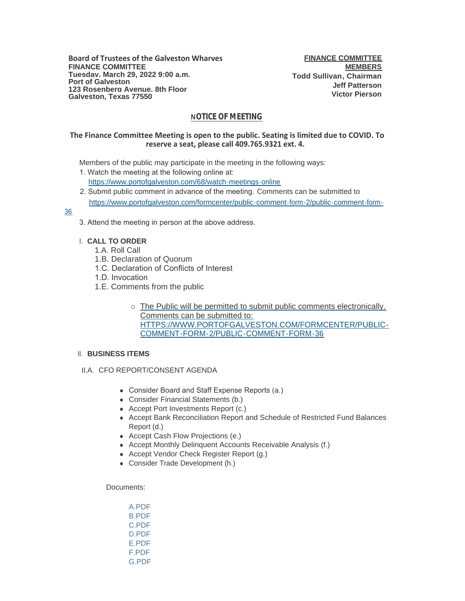# **NOTICE OF MEETING**

## **The Finance Committee Meeting is open to the public. Seating is limited due to COVID. To reserve a seat, please call 409.765.9321 ext. 4.**

Members of the public may participate in the meeting in the following ways:

- 1. Watch the meeting at the following online at: [https://www.portofgalveston.com/68/watch-meetings-online](https://www.portofgalveston.com/68/Watch-Meetings-Online)
- 2. Submit public comment in advance of the meeting. Comments can be submitted to [https://www.portofgalveston.com/formcenter/public-comment-form-2/public-comment-form-](https://www.portofgalveston.com/formcenter/public-comment-form-2/public-comment-form-36)

## 36

3. Attend the meeting in person at the above address.

## **CALL TO ORDER** I.

- 1.A. Roll Call
- 1.B. Declaration of Quorum
- 1.C. Declaration of Conflicts of Interest
- 1.D. Invocation
- 1.E. Comments from the public
	- o The Public will be permitted to submit public comments electronically. Comments can be submitted to: HTTPS://WWW.PORTOFGALVESTON.COM/FORMCENTER/PUBLIC-COMMENT-FORM-2/PUBLIC-COMMENT-FORM-36

# **BUSINESS ITEMS**  II.

- II.A. CFO REPORT/CONSENT AGENDA
	- Consider Board and Staff Expense Reports (a.)
	- Consider Financial Statements (b.)
	- Accept Port Investments Report (c.)
	- Accept Bank Reconciliation Report and Schedule of Restricted Fund Balances Report (d.)
	- Accept Cash Flow Projections (e.)
	- Accept Monthly Delinquent Accounts Receivable Analysis (f.)
	- Accept Vendor Check Register Report (g.)
	- Consider Trade Development (h.)

#### Documents:

[A.PDF](https://www.portofgalveston.com/AgendaCenter/ViewFile/Item/4744?fileID=8453) [B.PDF](https://www.portofgalveston.com/AgendaCenter/ViewFile/Item/4744?fileID=8454) [C.PDF](https://www.portofgalveston.com/AgendaCenter/ViewFile/Item/4744?fileID=8455) [D.PDF](https://www.portofgalveston.com/AgendaCenter/ViewFile/Item/4744?fileID=8456) [E.PDF](https://www.portofgalveston.com/AgendaCenter/ViewFile/Item/4744?fileID=8457) [F.PDF](https://www.portofgalveston.com/AgendaCenter/ViewFile/Item/4744?fileID=8458) [G.PDF](https://www.portofgalveston.com/AgendaCenter/ViewFile/Item/4744?fileID=8459)